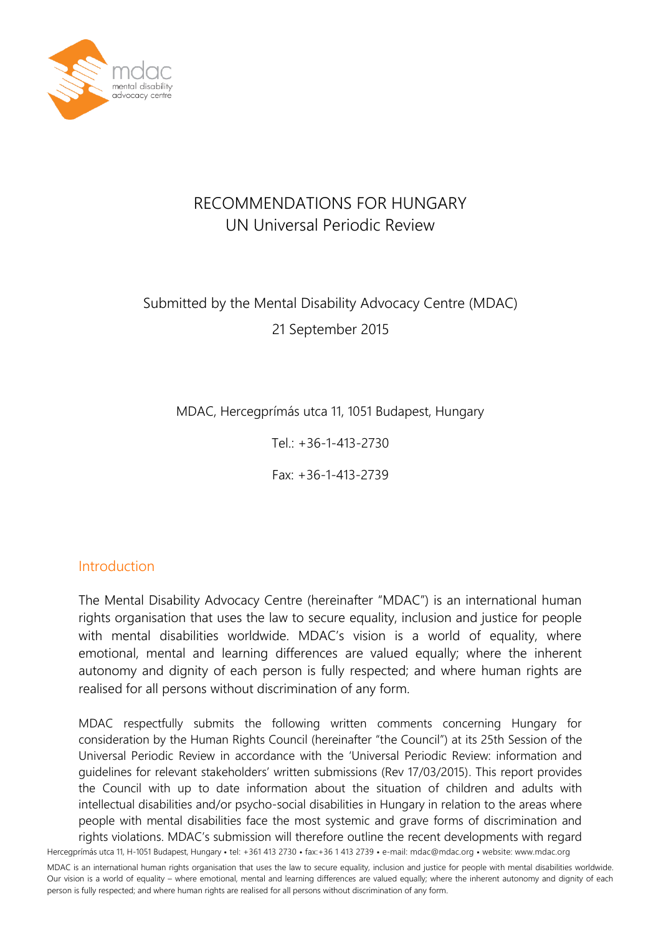

## RECOMMENDATIONS FOR HUNGARY UN Universal Periodic Review

# Submitted by the Mental Disability Advocacy Centre (MDAC) 21 September 2015

MDAC, Hercegprímás utca 11, 1051 Budapest, Hungary

Tel.: +36-1-413-2730

Fax: +36-1-413-2739

#### Introduction

The Mental Disability Advocacy Centre (hereinafter "MDAC") is an international human rights organisation that uses the law to secure equality, inclusion and justice for people with mental disabilities worldwide. MDAC's vision is a world of equality, where emotional, mental and learning differences are valued equally; where the inherent autonomy and dignity of each person is fully respected; and where human rights are realised for all persons without discrimination of any form.

Hercegprímás utca 11, H-1051 Budapest, Hungary • tel: +361 413 2730 • fax:+36 1 413 2739 • e-mail: mdac@mdac.org • website: www.mdac.org MDAC respectfully submits the following written comments concerning Hungary for consideration by the Human Rights Council (hereinafter "the Council") at its 25th Session of the Universal Periodic Review in accordance with the 'Universal Periodic Review: information and guidelines for relevant stakeholders' written submissions (Rev 17/03/2015). This report provides the Council with up to date information about the situation of children and adults with intellectual disabilities and/or psycho-social disabilities in Hungary in relation to the areas where people with mental disabilities face the most systemic and grave forms of discrimination and rights violations. MDAC's submission will therefore outline the recent developments with regard

MDAC is an international human rights organisation that uses the law to secure equality, inclusion and justice for people with mental disabilities worldwide. Our vision is a world of equality – where emotional, mental and learning differences are valued equally; where the inherent autonomy and dignity of each person is fully respected; and where human rights are realised for all persons without discrimination of any form.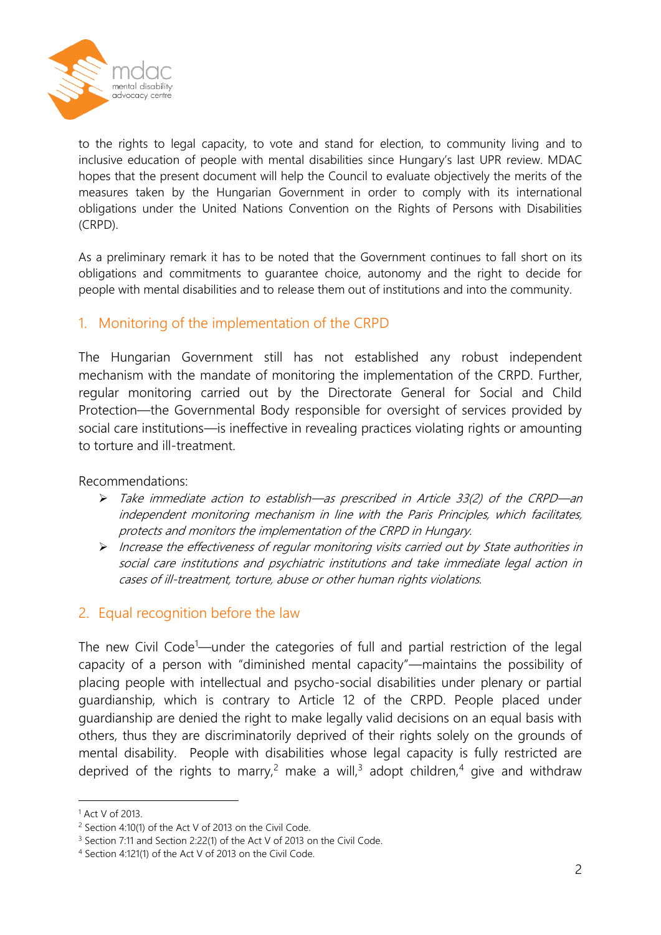

to the rights to legal capacity, to vote and stand for election, to community living and to inclusive education of people with mental disabilities since Hungary's last UPR review. MDAC hopes that the present document will help the Council to evaluate objectively the merits of the measures taken by the Hungarian Government in order to comply with its international obligations under the United Nations Convention on the Rights of Persons with Disabilities (CRPD).

As a preliminary remark it has to be noted that the Government continues to fall short on its obligations and commitments to guarantee choice, autonomy and the right to decide for people with mental disabilities and to release them out of institutions and into the community.

### 1. Monitoring of the implementation of the CRPD

The Hungarian Government still has not established any robust independent mechanism with the mandate of monitoring the implementation of the CRPD. Further, regular monitoring carried out by the Directorate General for Social and Child Protection—the Governmental Body responsible for oversight of services provided by social care institutions—is ineffective in revealing practices violating rights or amounting to torture and ill-treatment.

Recommendations:

- Take immediate action to establish—as prescribed in Article 33(2) of the CRPD—an independent monitoring mechanism in line with the Paris Principles, which facilitates, protects and monitors the implementation of the CRPD in Hungary.
- Increase the effectiveness of regular monitoring visits carried out by State authorities in social care institutions and psychiatric institutions and take immediate legal action in cases of ill-treatment, torture, abuse or other human rights violations.

#### 2. Equal recognition before the law

The new Civil Code<sup>1</sup>—under the categories of full and partial restriction of the legal capacity of a person with "diminished mental capacity"—maintains the possibility of placing people with intellectual and psycho-social disabilities under plenary or partial guardianship, which is contrary to Article 12 of the CRPD. People placed under guardianship are denied the right to make legally valid decisions on an equal basis with others, thus they are discriminatorily deprived of their rights solely on the grounds of mental disability. People with disabilities whose legal capacity is fully restricted are deprived of the rights to marry,<sup>2</sup> make a will,<sup>3</sup> adopt children,<sup>4</sup> give and withdraw

<u>.</u>

<sup>1</sup> Act V of 2013.

<sup>2</sup> Section 4:10(1) of the Act V of 2013 on the Civil Code.

<sup>&</sup>lt;sup>3</sup> Section 7:11 and Section 2:22(1) of the Act V of 2013 on the Civil Code.

<sup>4</sup> Section 4:121(1) of the Act V of 2013 on the Civil Code.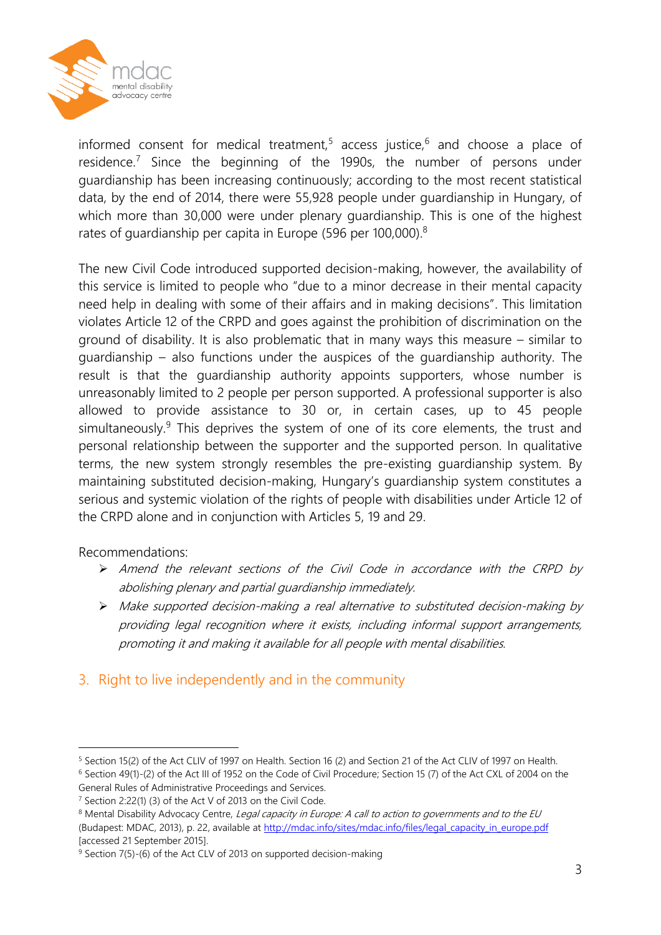

informed consent for medical treatment,<sup>5</sup> access justice,<sup>6</sup> and choose a place of residence.<sup>7</sup> Since the beginning of the 1990s, the number of persons under guardianship has been increasing continuously; according to the most recent statistical data, by the end of 2014, there were 55,928 people under guardianship in Hungary, of which more than 30,000 were under plenary guardianship. This is one of the highest rates of guardianship per capita in Europe (596 per 100,000).<sup>8</sup>

The new Civil Code introduced supported decision-making, however, the availability of this service is limited to people who "due to a minor decrease in their mental capacity need help in dealing with some of their affairs and in making decisions". This limitation violates Article 12 of the CRPD and goes against the prohibition of discrimination on the ground of disability. It is also problematic that in many ways this measure – similar to guardianship – also functions under the auspices of the guardianship authority. The result is that the guardianship authority appoints supporters, whose number is unreasonably limited to 2 people per person supported. A professional supporter is also allowed to provide assistance to 30 or, in certain cases, up to 45 people simultaneously.<sup>9</sup> This deprives the system of one of its core elements, the trust and personal relationship between the supporter and the supported person. In qualitative terms, the new system strongly resembles the pre-existing guardianship system. By maintaining substituted decision-making, Hungary's guardianship system constitutes a serious and systemic violation of the rights of people with disabilities under Article 12 of the CRPD alone and in conjunction with Articles 5, 19 and 29.

#### Recommendations:

<u>.</u>

- Amend the relevant sections of the Civil Code in accordance with the CRPD by abolishing plenary and partial guardianship immediately.
- Make supported decision-making a real alternative to substituted decision-making by providing legal recognition where it exists, including informal support arrangements, promoting it and making it available for all people with mental disabilities.

## 3. Right to live independently and in the community

<sup>5</sup> Section 15(2) of the Act CLIV of 1997 on Health. Section 16 (2) and Section 21 of the Act CLIV of 1997 on Health. <sup>6</sup> Section 49(1)-(2) of the Act III of 1952 on the Code of Civil Procedure; Section 15 (7) of the Act CXL of 2004 on the General Rules of Administrative Proceedings and Services.

<sup>7</sup> Section 2:22(1) (3) of the Act V of 2013 on the Civil Code.

<sup>&</sup>lt;sup>8</sup> Mental Disability Advocacy Centre, Legal capacity in Europe: A call to action to governments and to the EU (Budapest: MDAC, 2013), p. 22, available a[t http://mdac.info/sites/mdac.info/files/legal\\_capacity\\_in\\_europe.pdf](http://mdac.info/sites/mdac.info/files/legal_capacity_in_europe.pdf) [accessed 21 September 2015].

<sup>&</sup>lt;sup>9</sup> Section 7(5)-(6) of the Act CLV of 2013 on supported decision-making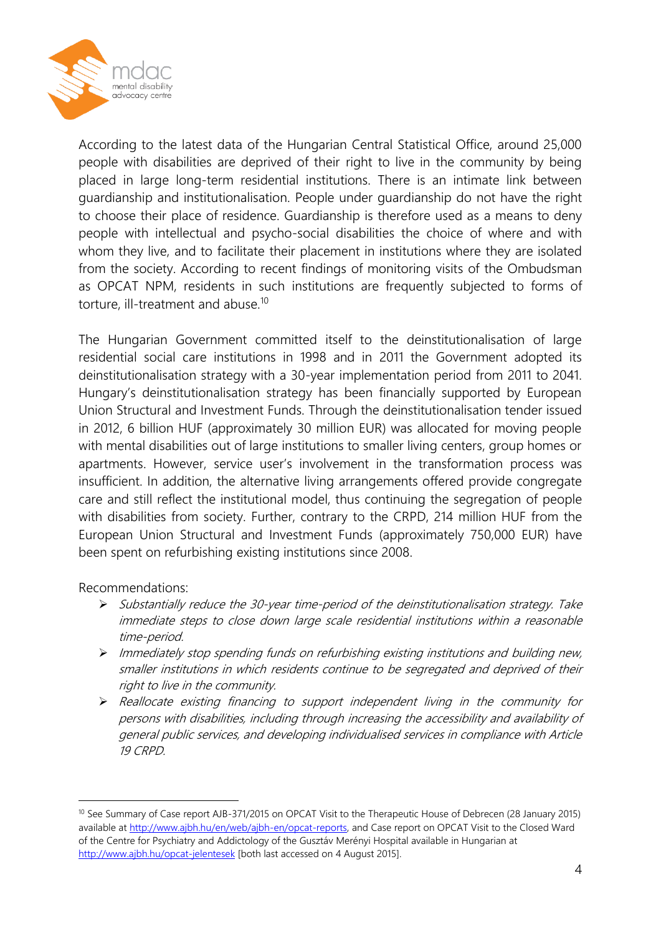

According to the latest data of the Hungarian Central Statistical Office, around 25,000 people with disabilities are deprived of their right to live in the community by being placed in large long-term residential institutions. There is an intimate link between guardianship and institutionalisation. People under guardianship do not have the right to choose their place of residence. Guardianship is therefore used as a means to deny people with intellectual and psycho-social disabilities the choice of where and with whom they live, and to facilitate their placement in institutions where they are isolated from the society. According to recent findings of monitoring visits of the Ombudsman as OPCAT NPM, residents in such institutions are frequently subjected to forms of torture, ill-treatment and abuse.<sup>10</sup>

The Hungarian Government committed itself to the deinstitutionalisation of large residential social care institutions in 1998 and in 2011 the Government adopted its deinstitutionalisation strategy with a 30-year implementation period from 2011 to 2041. Hungary's deinstitutionalisation strategy has been financially supported by European Union Structural and Investment Funds. Through the deinstitutionalisation tender issued in 2012, 6 billion HUF (approximately 30 million EUR) was allocated for moving people with mental disabilities out of large institutions to smaller living centers, group homes or apartments. However, service user's involvement in the transformation process was insufficient. In addition, the alternative living arrangements offered provide congregate care and still reflect the institutional model, thus continuing the segregation of people with disabilities from society. Further, contrary to the CRPD, 214 million HUF from the European Union Structural and Investment Funds (approximately 750,000 EUR) have been spent on refurbishing existing institutions since 2008.

Recommendations:

<u>.</u>

- $\triangleright$  Substantially reduce the 30-year time-period of the deinstitutionalisation strategy. Take immediate steps to close down large scale residential institutions within a reasonable time-period.
- $\triangleright$  Immediately stop spending funds on refurbishing existing institutions and building new, smaller institutions in which residents continue to be segregated and deprived of their right to live in the community.
- Reallocate existing financing to support independent living in the community for persons with disabilities, including through increasing the accessibility and availability of general public services, and developing individualised services in compliance with Article 19 CRPD.

<sup>&</sup>lt;sup>10</sup> See Summary of Case report AJB-371/2015 on OPCAT Visit to the Therapeutic House of Debrecen (28 January 2015) available a[t http://www.ajbh.hu/en/web/ajbh-en/opcat-reports,](http://www.ajbh.hu/en/web/ajbh-en/opcat-reports) and Case report on OPCAT Visit to the Closed Ward of the Centre for Psychiatry and Addictology of the Gusztáv Merényi Hospital available in Hungarian at <http://www.ajbh.hu/opcat-jelentesek> [both last accessed on 4 August 2015].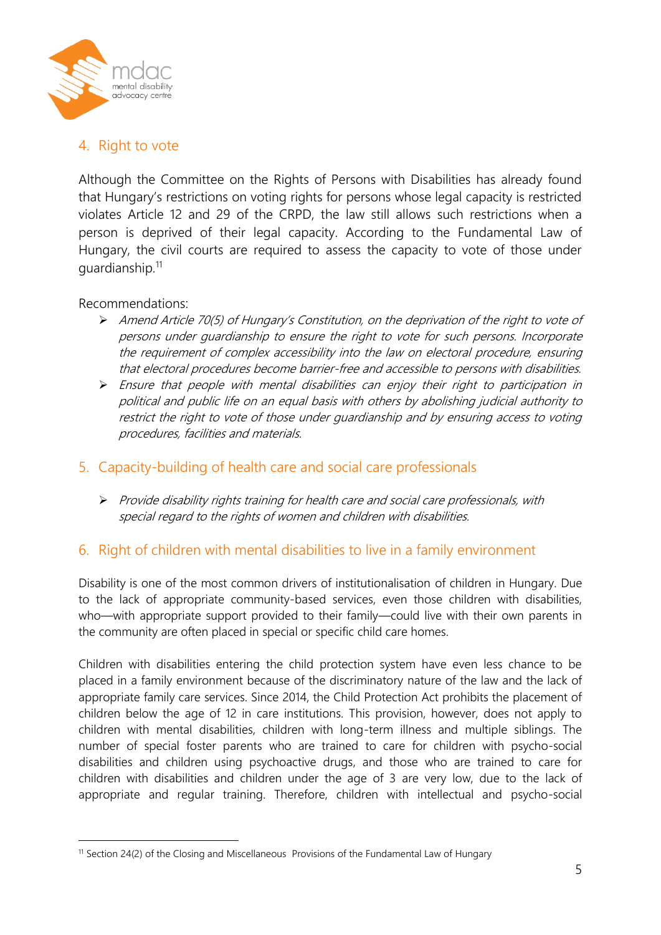

## 4. Right to vote

Although the Committee on the Rights of Persons with Disabilities has already found that Hungary's restrictions on voting rights for persons whose legal capacity is restricted violates Article 12 and 29 of the CRPD, the law still allows such restrictions when a person is deprived of their legal capacity. According to the Fundamental Law of Hungary, the civil courts are required to assess the capacity to vote of those under quardianship.<sup>11</sup>

Recommendations:

1

- Amend Article 70(5) of Hungary's Constitution, on the deprivation of the right to vote of persons under guardianship to ensure the right to vote for such persons. Incorporate the requirement of complex accessibility into the law on electoral procedure, ensuring that electoral procedures become barrier-free and accessible to persons with disabilities.
- $\triangleright$  Ensure that people with mental disabilities can enjoy their right to participation in political and public life on an equal basis with others by abolishing judicial authority to restrict the right to vote of those under guardianship and by ensuring access to voting procedures, facilities and materials.

#### 5. Capacity-building of health care and social care professionals

 $\triangleright$  Provide disability rights training for health care and social care professionals, with special regard to the rights of women and children with disabilities.

## 6. Right of children with mental disabilities to live in a family environment

Disability is one of the most common drivers of institutionalisation of children in Hungary. Due to the lack of appropriate community-based services, even those children with disabilities, who—with appropriate support provided to their family—could live with their own parents in the community are often placed in special or specific child care homes.

Children with disabilities entering the child protection system have even less chance to be placed in a family environment because of the discriminatory nature of the law and the lack of appropriate family care services. Since 2014, the Child Protection Act prohibits the placement of children below the age of 12 in care institutions. This provision, however, does not apply to children with mental disabilities, children with long-term illness and multiple siblings. The number of special foster parents who are trained to care for children with psycho-social disabilities and children using psychoactive drugs, and those who are trained to care for children with disabilities and children under the age of 3 are very low, due to the lack of appropriate and regular training. Therefore, children with intellectual and psycho-social

<sup>&</sup>lt;sup>11</sup> Section 24(2) of the Closing and Miscellaneous Provisions of the Fundamental Law of Hungary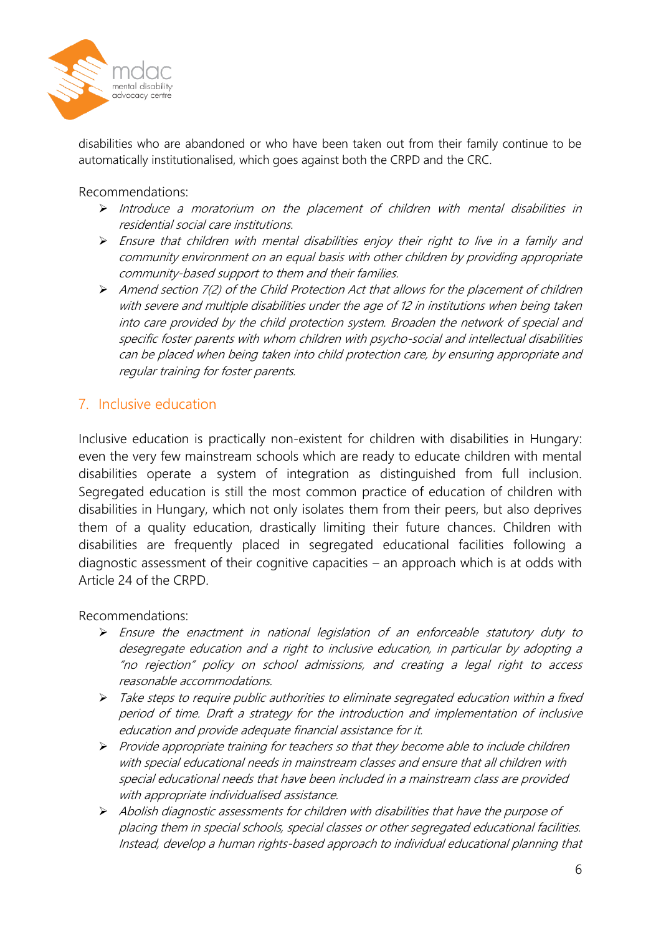

disabilities who are abandoned or who have been taken out from their family continue to be automatically institutionalised, which goes against both the CRPD and the CRC.

Recommendations:

- $\triangleright$  Introduce a moratorium on the placement of children with mental disabilities in residential social care institutions.
- $\triangleright$  Ensure that children with mental disabilities enjoy their right to live in a family and community environment on an equal basis with other children by providing appropriate community-based support to them and their families.
- Amend section 7(2) of the Child Protection Act that allows for the placement of children with severe and multiple disabilities under the age of 12 in institutions when being taken into care provided by the child protection system. Broaden the network of special and specific foster parents with whom children with psycho-social and intellectual disabilities can be placed when being taken into child protection care, by ensuring appropriate and regular training for foster parents.

### 7. Inclusive education

Inclusive education is practically non-existent for children with disabilities in Hungary: even the very few mainstream schools which are ready to educate children with mental disabilities operate a system of integration as distinguished from full inclusion. Segregated education is still the most common practice of education of children with disabilities in Hungary, which not only isolates them from their peers, but also deprives them of a quality education, drastically limiting their future chances. Children with disabilities are frequently placed in segregated educational facilities following a diagnostic assessment of their cognitive capacities – an approach which is at odds with Article 24 of the CRPD.

Recommendations:

- Ensure the enactment in national legislation of an enforceable statutory duty to desegregate education and a right to inclusive education, in particular by adopting a "no rejection" policy on school admissions, and creating a legal right to access reasonable accommodations.
- Take steps to require public authorities to eliminate segregated education within a fixed period of time. Draft a strategy for the introduction and implementation of inclusive education and provide adequate financial assistance for it.
- $\triangleright$  Provide appropriate training for teachers so that they become able to include children with special educational needs in mainstream classes and ensure that all children with special educational needs that have been included in a mainstream class are provided with appropriate individualised assistance.
- $\triangleright$  Abolish diagnostic assessments for children with disabilities that have the purpose of placing them in special schools, special classes or other segregated educational facilities. Instead, develop a human rights-based approach to individual educational planning that